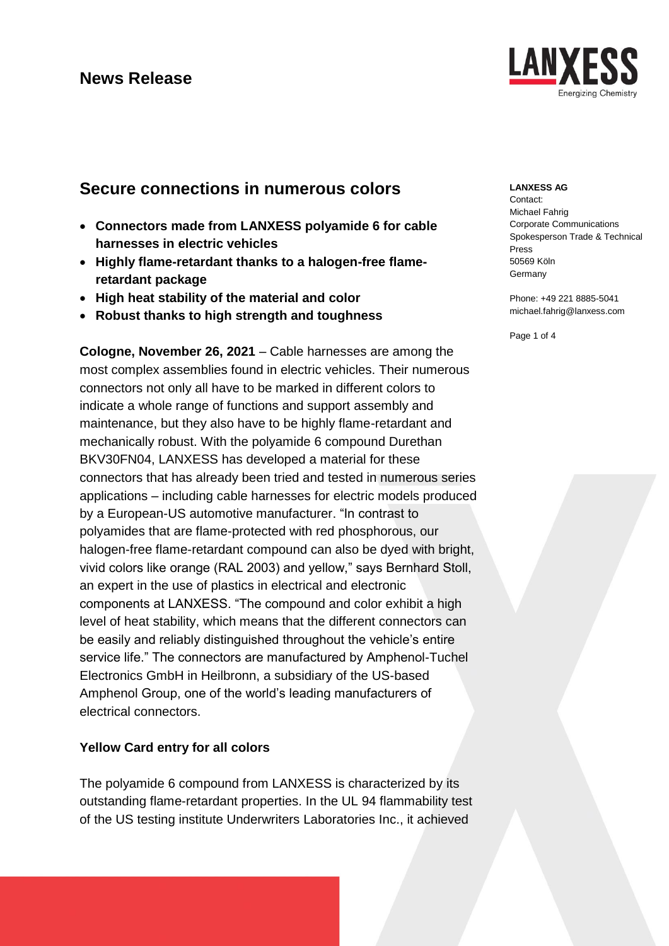## **Secure connections in numerous colors**

- **Connectors made from LANXESS polyamide 6 for cable harnesses in electric vehicles**
- **Highly flame-retardant thanks to a halogen-free flameretardant package**
- **High heat stability of the material and color**
- **Robust thanks to high strength and toughness**

**Cologne, November 26, 2021** – Cable harnesses are among the most complex assemblies found in electric vehicles. Their numerous connectors not only all have to be marked in different colors to indicate a whole range of functions and support assembly and maintenance, but they also have to be highly flame-retardant and mechanically robust. With the polyamide 6 compound Durethan BKV30FN04, LANXESS has developed a material for these connectors that has already been tried and tested in numerous series applications – including cable harnesses for electric models produced by a European-US automotive manufacturer. "In contrast to polyamides that are flame-protected with red phosphorous, our halogen-free flame-retardant compound can also be dyed with bright, vivid colors like orange (RAL 2003) and yellow," says Bernhard Stoll, an expert in the use of plastics in electrical and electronic components at LANXESS. "The compound and color exhibit a high level of heat stability, which means that the different connectors can be easily and reliably distinguished throughout the vehicle's entire service life." The connectors are manufactured by Amphenol-Tuchel Electronics GmbH in Heilbronn, a subsidiary of the US-based [Amphenol](https://www.amphenol.com/) Group, one of the world's leading manufacturers of electrical connectors.

### **Yellow Card entry for all colors**

The polyamide 6 compound from LANXESS is characterized by its outstanding flame-retardant properties. In the UL 94 flammability test of the US testing institute Underwriters Laboratories Inc., it achieved

### **LANXESS AG**

Contact: Michael Fahrig Corporate Communications Spokesperson Trade & Technical Press 50569 Köln Germany

Phone: +49 221 8885-5041 michael.fahrig@lanxess.com

Page 1 of 4

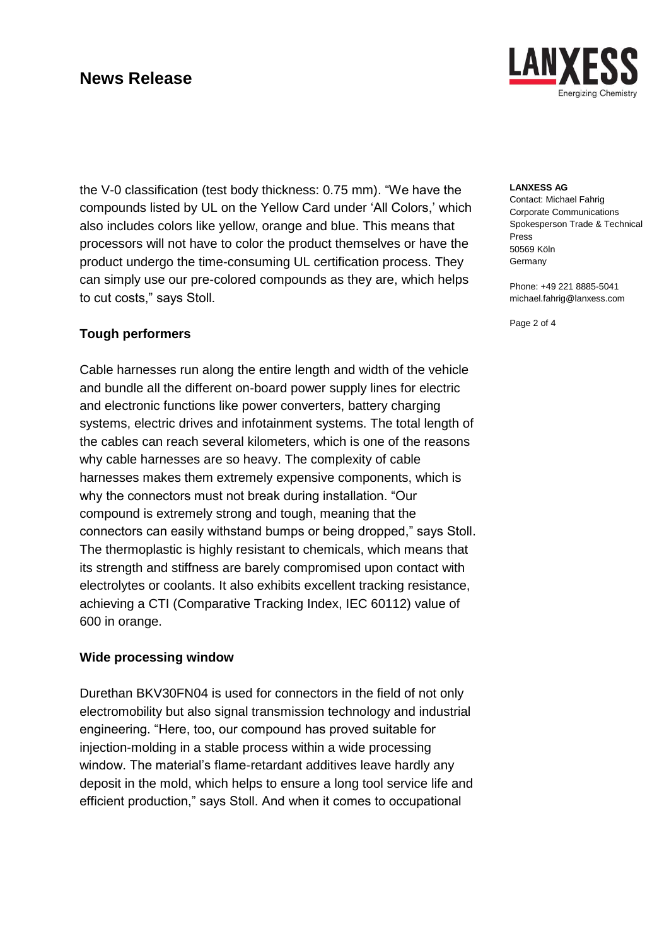LAN Inergizing Chemistry

the V-0 classification (test body thickness: 0.75 mm). "We have the compounds listed by UL on the Yellow Card under 'All Colors,' which also includes colors like yellow, orange and blue. This means that processors will not have to color the product themselves or have the product undergo the time-consuming UL certification process. They can simply use our pre-colored compounds as they are, which helps to cut costs," says Stoll.

### **Tough performers**

Cable harnesses run along the entire length and width of the vehicle and bundle all the different on-board power supply lines for electric and electronic functions like power converters, battery charging systems, electric drives and infotainment systems. The total length of the cables can reach several kilometers, which is one of the reasons why cable harnesses are so heavy. The complexity of cable harnesses makes them extremely expensive components, which is why the connectors must not break during installation. "Our compound is extremely strong and tough, meaning that the connectors can easily withstand bumps or being dropped," says Stoll. The thermoplastic is highly resistant to chemicals, which means that its strength and stiffness are barely compromised upon contact with electrolytes or coolants. It also exhibits excellent tracking resistance, achieving a CTI (Comparative Tracking Index, IEC 60112) value of 600 in orange.

### **Wide processing window**

Durethan BKV30FN04 is used for connectors in the field of not only electromobility but also signal transmission technology and industrial engineering. "Here, too, our compound has proved suitable for injection-molding in a stable process within a wide processing window. The material's flame-retardant additives leave hardly any deposit in the mold, which helps to ensure a long tool service life and efficient production," says Stoll. And when it comes to occupational

#### **LANXESS AG**

Contact: Michael Fahrig Corporate Communications Spokesperson Trade & Technical Press 50569 Köln Germany

Phone: +49 221 8885-5041 michael.fahrig@lanxess.com

Page 2 of 4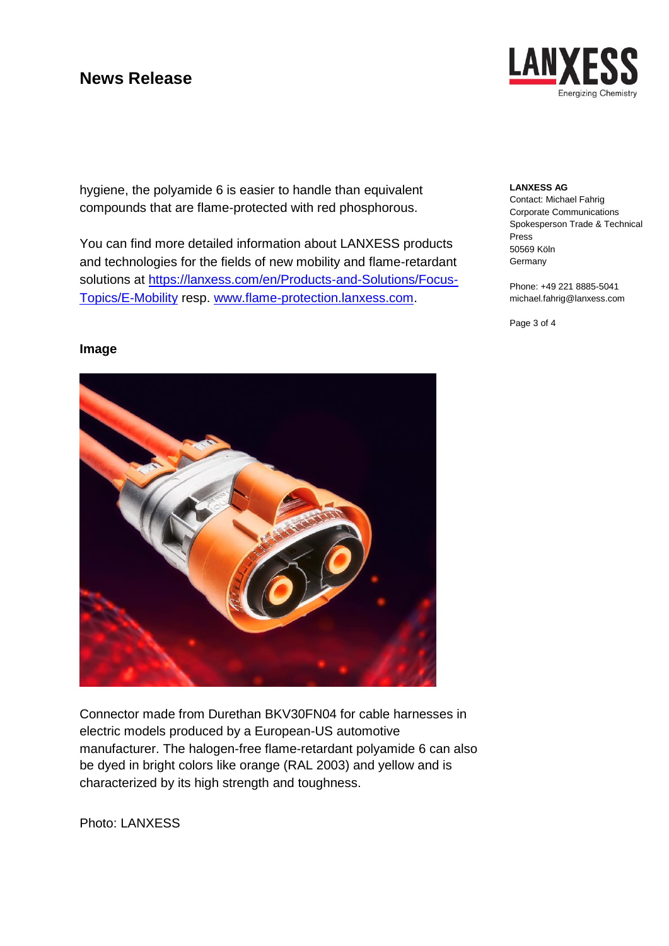LAI Ineraizina Chemistry

hygiene, the polyamide 6 is easier to handle than equivalent compounds that are flame-protected with red phosphorous.

You can find more detailed information about LANXESS products and technologies for the fields of new mobility and flame-retardant solutions at [https://lanxess.com/en/Products-and-Solutions/Focus-](https://lanxess.com/en/Products-and-Solutions/Focus-Topics/E-Mobility)[Topics/E-Mobility](https://lanxess.com/en/Products-and-Solutions/Focus-Topics/E-Mobility) resp. [www.flame-protection.lanxess.com.](http://www.flame-protection.lanxess.com/)

#### **LANXESS AG**

Contact: Michael Fahrig Corporate Communications Spokesperson Trade & Technical Press 50569 Köln Germany

Phone: +49 221 8885-5041 michael.fahrig@lanxess.com

Page 3 of 4

### **Image**



Connector made from Durethan BKV30FN04 for cable harnesses in electric models produced by a European-US automotive manufacturer. The halogen-free flame-retardant polyamide 6 can also be dyed in bright colors like orange (RAL 2003) and yellow and is characterized by its high strength and toughness.

Photo: LANXESS